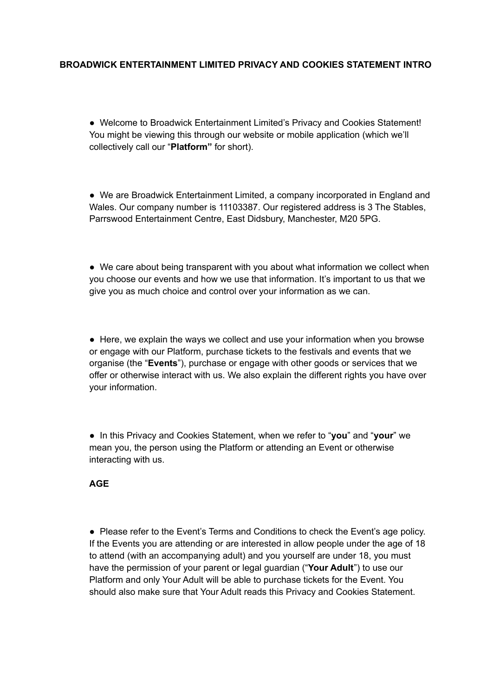# **BROADWICK ENTERTAINMENT LIMITED PRIVACY AND COOKIES STATEMENT INTRO**

● Welcome to Broadwick Entertainment Limited's Privacy and Cookies Statement! You might be viewing this through our website or mobile application (which we'll collectively call our "**Platform"** for short).

● We are Broadwick Entertainment Limited, a company incorporated in England and Wales. Our company number is 11103387. Our registered address is 3 The Stables, Parrswood Entertainment Centre, East Didsbury, Manchester, M20 5PG.

• We care about being transparent with you about what information we collect when you choose our events and how we use that information. It's important to us that we give you as much choice and control over your information as we can.

● Here, we explain the ways we collect and use your information when you browse or engage with our Platform, purchase tickets to the festivals and events that we organise (the "**Events**"), purchase or engage with other goods or services that we offer or otherwise interact with us. We also explain the different rights you have over your information.

● In this Privacy and Cookies Statement, when we refer to "**you**" and "**your**" we mean you, the person using the Platform or attending an Event or otherwise interacting with us.

#### **AGE**

● Please refer to the Event's Terms and Conditions to check the Event's age policy. If the Events you are attending or are interested in allow people under the age of 18 to attend (with an accompanying adult) and you yourself are under 18, you must have the permission of your parent or legal guardian ("**Your Adult**") to use our Platform and only Your Adult will be able to purchase tickets for the Event. You should also make sure that Your Adult reads this Privacy and Cookies Statement.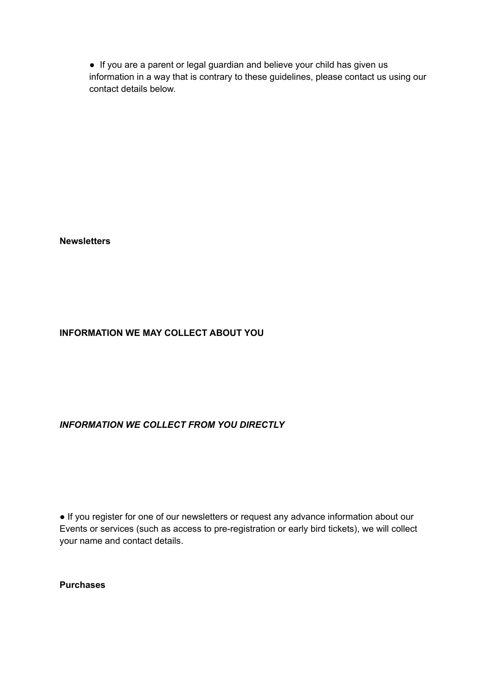● If you are a parent or legal guardian and believe your child has given us information in a way that is contrary to these guidelines, please contact us using our contact details below.

**Newsletters**

# **INFORMATION WE MAY COLLECT ABOUT YOU**

#### *INFORMATION WE COLLECT FROM YOU DIRECTLY*

● If you register for one of our newsletters or request any advance information about our Events or services (such as access to pre-registration or early bird tickets), we will collect your name and contact details.

**Purchases**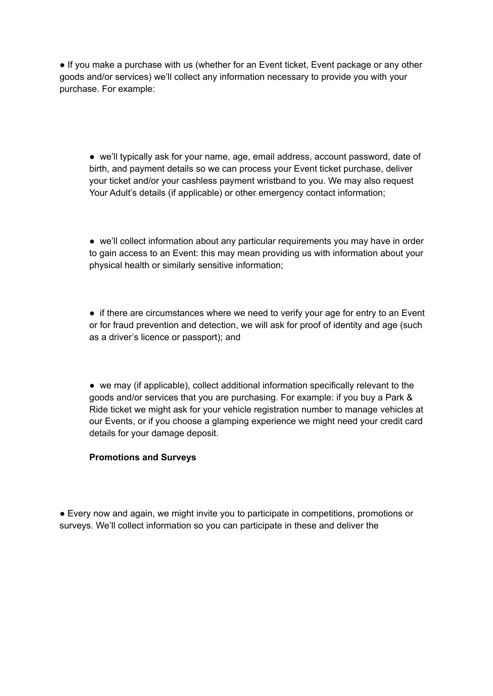● If you make a purchase with us (whether for an Event ticket, Event package or any other goods and/or services) we'll collect any information necessary to provide you with your purchase. For example:

● we'll typically ask for your name, age, email address, account password, date of birth, and payment details so we can process your Event ticket purchase, deliver your ticket and/or your cashless payment wristband to you. We may also request Your Adult's details (if applicable) or other emergency contact information;

● we'll collect information about any particular requirements you may have in order to gain access to an Event: this may mean providing us with information about your physical health or similarly sensitive information;

• if there are circumstances where we need to verify your age for entry to an Event or for fraud prevention and detection, we will ask for proof of identity and age (such as a driver's licence or passport); and

● we may (if applicable), collect additional information specifically relevant to the goods and/or services that you are purchasing. For example: if you buy a Park & Ride ticket we might ask for your vehicle registration number to manage vehicles at our Events, or if you choose a glamping experience we might need your credit card details for your damage deposit.

#### **Promotions and Surveys**

● Every now and again, we might invite you to participate in competitions, promotions or surveys. We'll collect information so you can participate in these and deliver the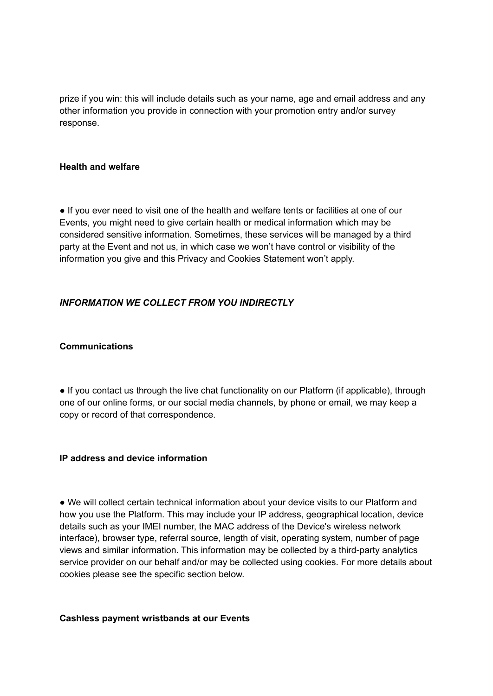prize if you win: this will include details such as your name, age and email address and any other information you provide in connection with your promotion entry and/or survey response.

#### **Health and welfare**

● If you ever need to visit one of the health and welfare tents or facilities at one of our Events, you might need to give certain health or medical information which may be considered sensitive information. Sometimes, these services will be managed by a third party at the Event and not us, in which case we won't have control or visibility of the information you give and this Privacy and Cookies Statement won't apply.

# *INFORMATION WE COLLECT FROM YOU INDIRECTLY*

#### **Communications**

• If you contact us through the live chat functionality on our Platform (if applicable), through one of our online forms, or our social media channels, by phone or email, we may keep a copy or record of that correspondence.

#### **IP address and device information**

● We will collect certain technical information about your device visits to our Platform and how you use the Platform. This may include your IP address, geographical location, device details such as your IMEI number, the MAC address of the Device's wireless network interface), browser type, referral source, length of visit, operating system, number of page views and similar information. This information may be collected by a third-party analytics service provider on our behalf and/or may be collected using cookies. For more details about cookies please see the specific section below.

#### **Cashless payment wristbands at our Events**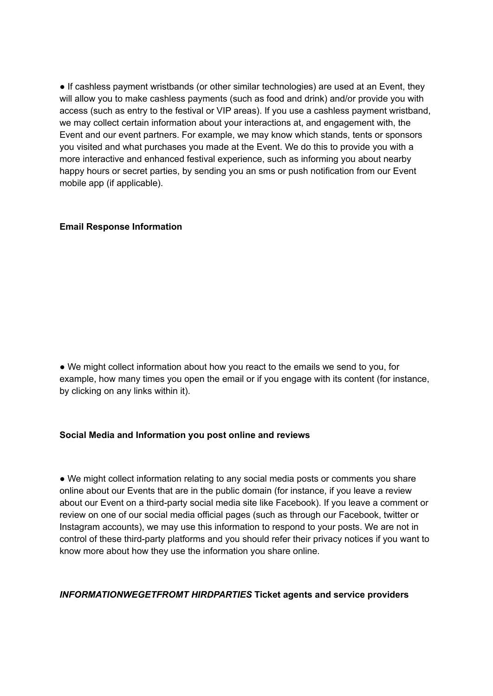● If cashless payment wristbands (or other similar technologies) are used at an Event, they will allow you to make cashless payments (such as food and drink) and/or provide you with access (such as entry to the festival or VIP areas). If you use a cashless payment wristband, we may collect certain information about your interactions at, and engagement with, the Event and our event partners. For example, we may know which stands, tents or sponsors you visited and what purchases you made at the Event. We do this to provide you with a more interactive and enhanced festival experience, such as informing you about nearby happy hours or secret parties, by sending you an sms or push notification from our Event mobile app (if applicable).

#### **Email Response Information**

● We might collect information about how you react to the emails we send to you, for example, how many times you open the email or if you engage with its content (for instance, by clicking on any links within it).

#### **Social Media and Information you post online and reviews**

• We might collect information relating to any social media posts or comments you share online about our Events that are in the public domain (for instance, if you leave a review about our Event on a third-party social media site like Facebook). If you leave a comment or review on one of our social media official pages (such as through our Facebook, twitter or Instagram accounts), we may use this information to respond to your posts. We are not in control of these third-party platforms and you should refer their privacy notices if you want to know more about how they use the information you share online.

#### *INFORMATIONWEGETFROMT HIRDPARTIES* **Ticket agents and service providers**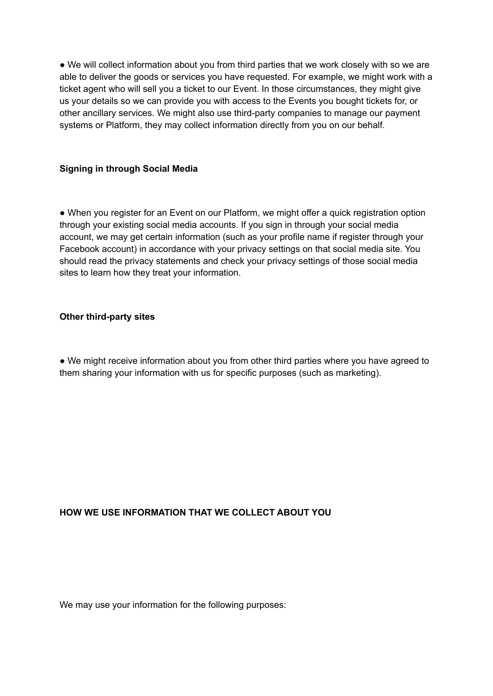• We will collect information about you from third parties that we work closely with so we are able to deliver the goods or services you have requested. For example, we might work with a ticket agent who will sell you a ticket to our Event. In those circumstances, they might give us your details so we can provide you with access to the Events you bought tickets for, or other ancillary services. We might also use third-party companies to manage our payment systems or Platform, they may collect information directly from you on our behalf.

# **Signing in through Social Media**

• When you register for an Event on our Platform, we might offer a quick registration option through your existing social media accounts. If you sign in through your social media account, we may get certain information (such as your profile name if register through your Facebook account) in accordance with your privacy settings on that social media site. You should read the privacy statements and check your privacy settings of those social media sites to learn how they treat your information.

#### **Other third-party sites**

● We might receive information about you from other third parties where you have agreed to them sharing your information with us for specific purposes (such as marketing).

# **HOW WE USE INFORMATION THAT WE COLLECT ABOUT YOU**

We may use your information for the following purposes: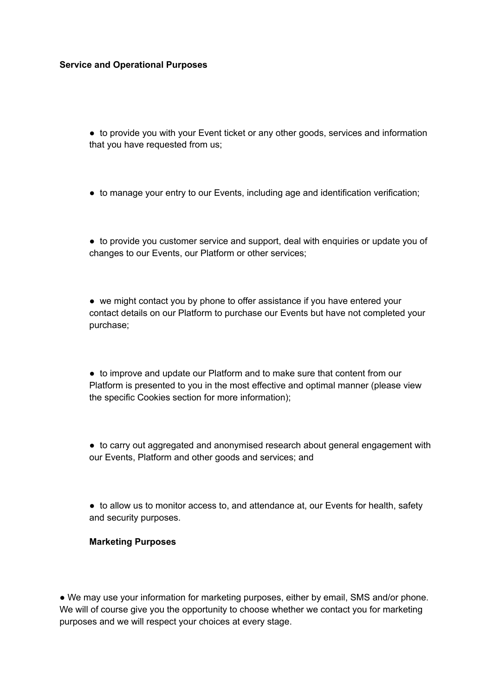#### **Service and Operational Purposes**

• to provide you with your Event ticket or any other goods, services and information that you have requested from us;

● to manage your entry to our Events, including age and identification verification;

● to provide you customer service and support, deal with enquiries or update you of changes to our Events, our Platform or other services;

• we might contact you by phone to offer assistance if you have entered your contact details on our Platform to purchase our Events but have not completed your purchase;

● to improve and update our Platform and to make sure that content from our Platform is presented to you in the most effective and optimal manner (please view the specific Cookies section for more information);

● to carry out aggregated and anonymised research about general engagement with our Events, Platform and other goods and services; and

● to allow us to monitor access to, and attendance at, our Events for health, safety and security purposes.

#### **Marketing Purposes**

• We may use your information for marketing purposes, either by email, SMS and/or phone. We will of course give you the opportunity to choose whether we contact you for marketing purposes and we will respect your choices at every stage.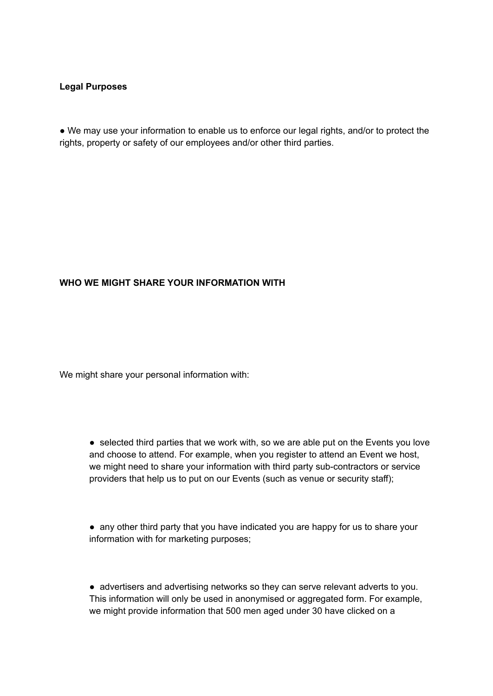#### **Legal Purposes**

● We may use your information to enable us to enforce our legal rights, and/or to protect the rights, property or safety of our employees and/or other third parties.

#### **WHO WE MIGHT SHARE YOUR INFORMATION WITH**

We might share your personal information with:

● selected third parties that we work with, so we are able put on the Events you love and choose to attend. For example, when you register to attend an Event we host, we might need to share your information with third party sub-contractors or service providers that help us to put on our Events (such as venue or security staff);

● any other third party that you have indicated you are happy for us to share your information with for marketing purposes;

● advertisers and advertising networks so they can serve relevant adverts to you. This information will only be used in anonymised or aggregated form. For example, we might provide information that 500 men aged under 30 have clicked on a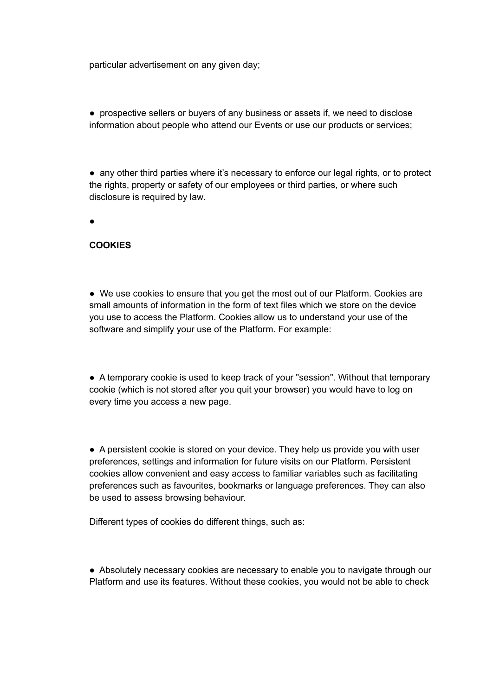particular advertisement on any given day;

● prospective sellers or buyers of any business or assets if, we need to disclose information about people who attend our Events or use our products or services;

• any other third parties where it's necessary to enforce our legal rights, or to protect the rights, property or safety of our employees or third parties, or where such disclosure is required by law.

●

#### **COOKIES**

● We use cookies to ensure that you get the most out of our Platform. Cookies are small amounts of information in the form of text files which we store on the device you use to access the Platform. Cookies allow us to understand your use of the software and simplify your use of the Platform. For example:

● A temporary cookie is used to keep track of your "session". Without that temporary cookie (which is not stored after you quit your browser) you would have to log on every time you access a new page.

● A persistent cookie is stored on your device. They help us provide you with user preferences, settings and information for future visits on our Platform. Persistent cookies allow convenient and easy access to familiar variables such as facilitating preferences such as favourites, bookmarks or language preferences. They can also be used to assess browsing behaviour.

Different types of cookies do different things, such as:

● Absolutely necessary cookies are necessary to enable you to navigate through our Platform and use its features. Without these cookies, you would not be able to check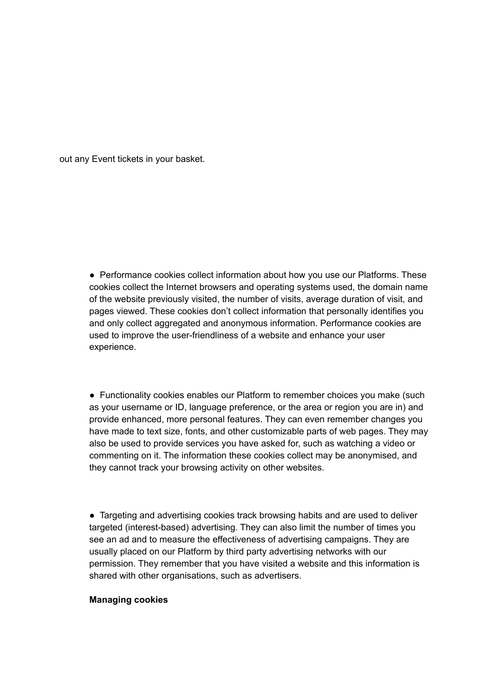out any Event tickets in your basket.

• Performance cookies collect information about how you use our Platforms. These cookies collect the Internet browsers and operating systems used, the domain name of the website previously visited, the number of visits, average duration of visit, and pages viewed. These cookies don't collect information that personally identifies you and only collect aggregated and anonymous information. Performance cookies are used to improve the user-friendliness of a website and enhance your user experience.

● Functionality cookies enables our Platform to remember choices you make (such as your username or ID, language preference, or the area or region you are in) and provide enhanced, more personal features. They can even remember changes you have made to text size, fonts, and other customizable parts of web pages. They may also be used to provide services you have asked for, such as watching a video or commenting on it. The information these cookies collect may be anonymised, and they cannot track your browsing activity on other websites.

• Targeting and advertising cookies track browsing habits and are used to deliver targeted (interest-based) advertising. They can also limit the number of times you see an ad and to measure the effectiveness of advertising campaigns. They are usually placed on our Platform by third party advertising networks with our permission. They remember that you have visited a website and this information is shared with other organisations, such as advertisers.

#### **Managing cookies**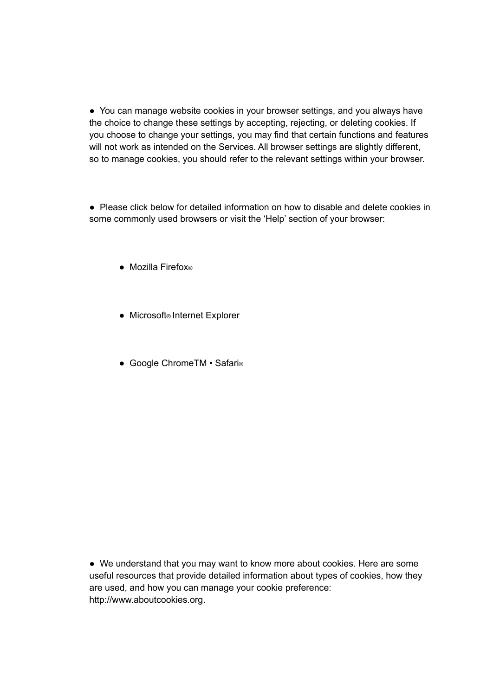• You can manage website cookies in your browser settings, and you always have the choice to change these settings by accepting, rejecting, or deleting cookies. If you choose to change your settings, you may find that certain functions and features will not work as intended on the Services. All browser settings are slightly different, so to manage cookies, you should refer to the relevant settings within your browser.

● Please click below for detailed information on how to disable and delete cookies in some commonly used browsers or visit the 'Help' section of your browser:

- Mozilla Firefox®
- Microsoft® Internet Explorer
- Google ChromeTM Safari<sup>®</sup>

● We understand that you may want to know more about cookies. Here are some useful resources that provide detailed information about types of cookies, how they are used, and how you can manage your cookie preference: http://www.aboutcookies.org.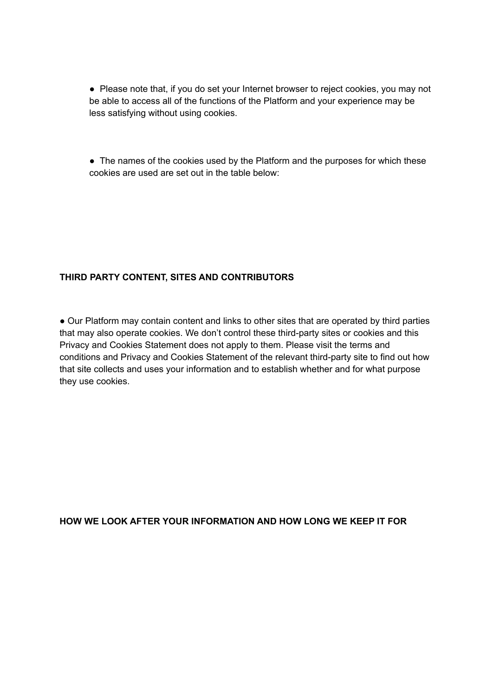• Please note that, if you do set your Internet browser to reject cookies, you may not be able to access all of the functions of the Platform and your experience may be less satisfying without using cookies.

• The names of the cookies used by the Platform and the purposes for which these cookies are used are set out in the table below:

# **THIRD PARTY CONTENT, SITES AND CONTRIBUTORS**

• Our Platform may contain content and links to other sites that are operated by third parties that may also operate cookies. We don't control these third-party sites or cookies and this Privacy and Cookies Statement does not apply to them. Please visit the terms and conditions and Privacy and Cookies Statement of the relevant third-party site to find out how that site collects and uses your information and to establish whether and for what purpose they use cookies.

**HOW WE LOOK AFTER YOUR INFORMATION AND HOW LONG WE KEEP IT FOR**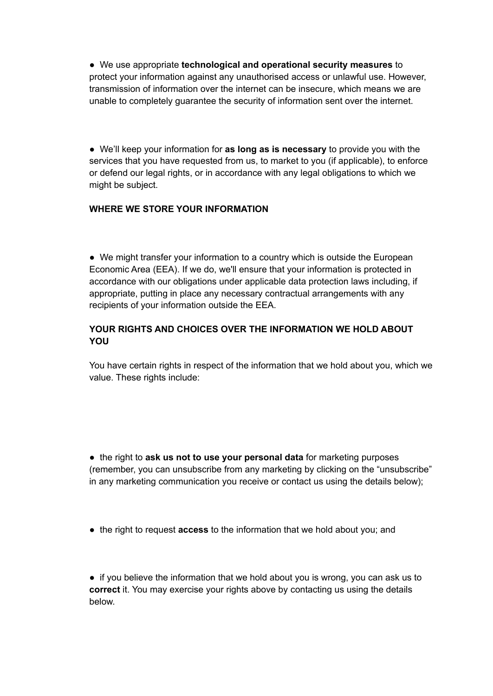● We use appropriate **technological and operational security measures** to protect your information against any unauthorised access or unlawful use. However, transmission of information over the internet can be insecure, which means we are unable to completely guarantee the security of information sent over the internet.

● We'll keep your information for **as long as is necessary** to provide you with the services that you have requested from us, to market to you (if applicable), to enforce or defend our legal rights, or in accordance with any legal obligations to which we might be subject.

# **WHERE WE STORE YOUR INFORMATION**

• We might transfer your information to a country which is outside the European Economic Area (EEA). If we do, we'll ensure that your information is protected in accordance with our obligations under applicable data protection laws including, if appropriate, putting in place any necessary contractual arrangements with any recipients of your information outside the EEA.

# **YOUR RIGHTS AND CHOICES OVER THE INFORMATION WE HOLD ABOUT YOU**

You have certain rights in respect of the information that we hold about you, which we value. These rights include:

● the right to **ask us not to use your personal data** for marketing purposes (remember, you can unsubscribe from any marketing by clicking on the "unsubscribe" in any marketing communication you receive or contact us using the details below);

● the right to request **access** to the information that we hold about you; and

• if you believe the information that we hold about you is wrong, you can ask us to **correct** it. You may exercise your rights above by contacting us using the details below.